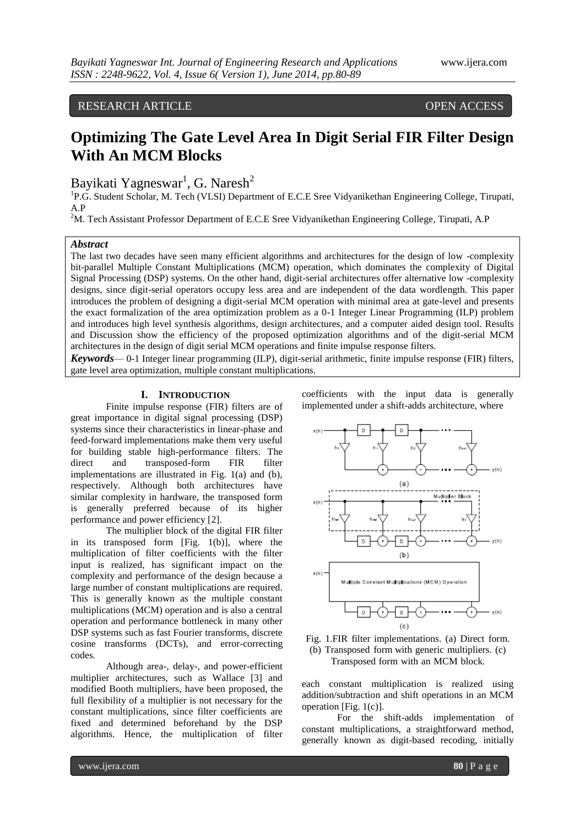# RESEARCH ARTICLE OPEN ACCESS

# **Optimizing The Gate Level Area In Digit Serial FIR Filter Design With An MCM Blocks**

Bayikati Yagneswar<sup>1</sup>, G. Naresh<sup>2</sup>

<sup>1</sup>P.G. Student Scholar, M. Tech (VLSI) Department of E.C.E Sree Vidyanikethan Engineering College, Tirupati, A.P

<sup>2</sup>M. Tech Assistant Professor Department of E.C.E Sree Vidyanikethan Engineering College, Tirupati, A.P

#### *Abstract*

The last two decades have seen many efficient algorithms and architectures for the design of low -complexity bit-parallel Multiple Constant Multiplications (MCM) operation, which dominates the complexity of Digital Signal Processing (DSP) systems. On the other hand, digit-serial architectures offer alternative low -complexity designs, since digit-serial operators occupy less area and are independent of the data wordlength. This paper introduces the problem of designing a digit-serial MCM operation with minimal area at gate-level and presents the exact formalization of the area optimization problem as a 0-1 Integer Linear Programming (ILP) problem and introduces high level synthesis algorithms, design architectures, and a computer aided design tool. Results and Discussion show the efficiency of the proposed optimization algorithms and of the digit-serial MCM architectures in the design of digit serial MCM operations and finite impulse response filters.

*Keywords*— 0-1 Integer linear programming (ILP), digit-serial arithmetic, finite impulse response (FIR) filters, gate level area optimization, multiple constant multiplications.

# **I. INTRODUCTION**

Finite impulse response (FIR) filters are of great importance in digital signal processing (DSP) systems since their characteristics in linear-phase and feed-forward implementations make them very useful for building stable high-performance filters. The direct and transposed-form FIR filter implementations are illustrated in Fig. 1(a) and (b), respectively. Although both architectures have similar complexity in hardware, the transposed form is generally preferred because of its higher performance and power efficiency [2].

The multiplier block of the digital FIR filter in its transposed form [Fig. 1(b)], where the multiplication of filter coefficients with the filter input is realized, has significant impact on the complexity and performance of the design because a large number of constant multiplications are required. This is generally known as the multiple constant multiplications (MCM) operation and is also a central operation and performance bottleneck in many other DSP systems such as fast Fourier transforms, discrete cosine transforms (DCTs), and error-correcting codes.

Although area-, delay-, and power-efficient multiplier architectures, such as Wallace [3] and modified Booth multipliers, have been proposed, the full flexibility of a multiplier is not necessary for the constant multiplications, since filter coefficients are fixed and determined beforehand by the DSP algorithms. Hence, the multiplication of filter

coefficients with the input data is generally implemented under a shift-adds architecture, where





each constant multiplication is realized using addition/subtraction and shift operations in an MCM operation [Fig. 1(c)].

For the shift-adds implementation of constant multiplications, a straightforward method, generally known as digit-based recoding, initially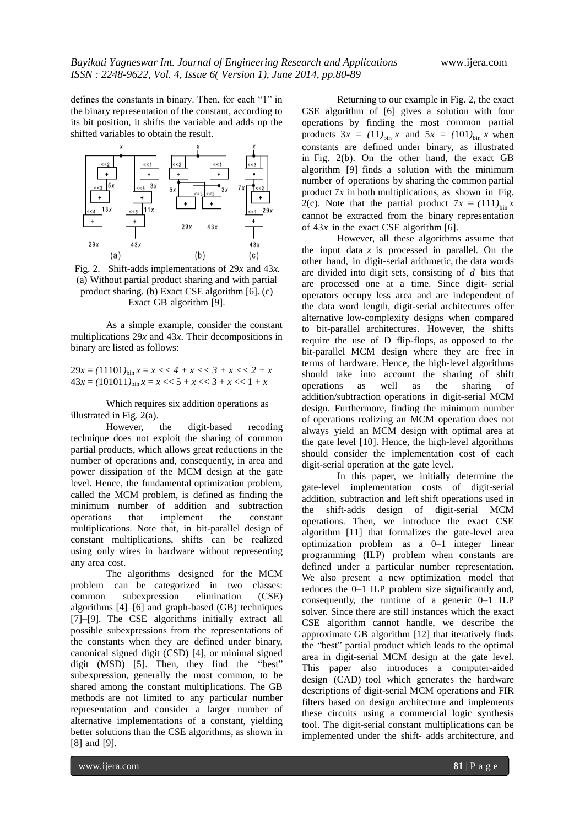defines the constants in binary. Then, for each "1" in the binary representation of the constant, according to its bit position, it shifts the variable and adds up the shifted variables to obtain the result.



Fig. 2. Shift-adds implementations of 29*x* and 43*x.*  (a) Without partial product sharing and with partial product sharing. (b) Exact CSE algorithm [6]. (c) Exact GB algorithm [9].

As a simple example, consider the constant multiplications 29*x* and 43*x*. Their decompositions in binary are listed as follows:

 $29x = (11101)_{\text{bin}} x = x \ll 4 + x \ll 3 + x \ll 2 + x$  $43x = (101011)_{\text{bin}} x = x \ll 5 + x \ll 3 + x \ll 1 + x$ 

Which requires six addition operations as illustrated in Fig. 2(a).

However, the digit-based recoding technique does not exploit the sharing of common partial products, which allows great reductions in the number of operations and, consequently, in area and power dissipation of the MCM design at the gate level. Hence, the fundamental optimization problem, called the MCM problem, is defined as finding the minimum number of addition and subtraction operations that implement the constant multiplications. Note that, in bit-parallel design of constant multiplications, shifts can be realized using only wires in hardware without representing any area cost.

The algorithms designed for the MCM problem can be categorized in two classes: common subexpression elimination (CSE) algorithms [4]–[6] and graph-based (GB) techniques [7]–[9]. The CSE algorithms initially extract all possible subexpressions from the representations of the constants when they are defined under binary, canonical signed digit (CSD) [4], or minimal signed digit  $(MSD)$  [5]. Then, they find the "best" subexpression, generally the most common, to be shared among the constant multiplications. The GB methods are not limited to any particular number representation and consider a larger number of alternative implementations of a constant, yielding better solutions than the CSE algorithms, as shown in [8] and [9].

Returning to our example in Fig. 2, the exact CSE algorithm of [6] gives a solution with four operations by finding the most common partial products  $3x = (11)_{\text{bin}} x$  and  $5x = (101)_{\text{bin}} x$  when constants are defined under binary, as illustrated in Fig. 2(b). On the other hand, the exact GB algorithm [9] finds a solution with the minimum number of operations by sharing the common partial product  $7x$  in both multiplications, as shown in Fig. 2(c). Note that the partial product  $7x = (111)_{bin}x$ cannot be extracted from the binary representation of  $43x$  in the exact CSE algorithm [6].

However, all these algorithms assume that the input data  $x$  is processed in parallel. On the other hand, in digit-serial arithmetic, the data words are divided into digit sets, consisting of *d* bits that are processed one at a time. Since digit- serial operators occupy less area and are independent of the data word length, digit-serial architectures offer alternative low-complexity designs when compared to bit-parallel architectures. However, the shifts require the use of D flip-flops, as opposed to the bit-parallel MCM design where they are free in terms of hardware. Hence, the high-level algorithms should take into account the sharing of shift operations as well as the sharing of addition/subtraction operations in digit-serial MCM design. Furthermore, finding the minimum number of operations realizing an MCM operation does not always yield an MCM design with optimal area at the gate level [10]. Hence, the high-level algorithms should consider the implementation cost of each digit-serial operation at the gate level.

In this paper, we initially determine the gate-level implementation costs of digit-serial addition, subtraction and left shift operations used in the shift-adds design of digit-serial MCM operations. Then, we introduce the exact CSE algorithm [11] that formalizes the gate-level area optimization problem as a 0–1 integer linear programming (ILP) problem when constants are defined under a particular number representation. We also present a new optimization model that reduces the 0–1 ILP problem size significantly and, consequently, the runtime of a generic 0–1 ILP solver. Since there are still instances which the exact CSE algorithm cannot handle, we describe the approximate GB algorithm [12] that iteratively finds the "best" partial product which leads to the optimal area in digit-serial MCM design at the gate level. This paper also introduces a computer-aided design (CAD) tool which generates the hardware descriptions of digit-serial MCM operations and FIR filters based on design architecture and implements these circuits using a commercial logic synthesis tool. The digit-serial constant multiplications can be implemented under the shift- adds architecture, and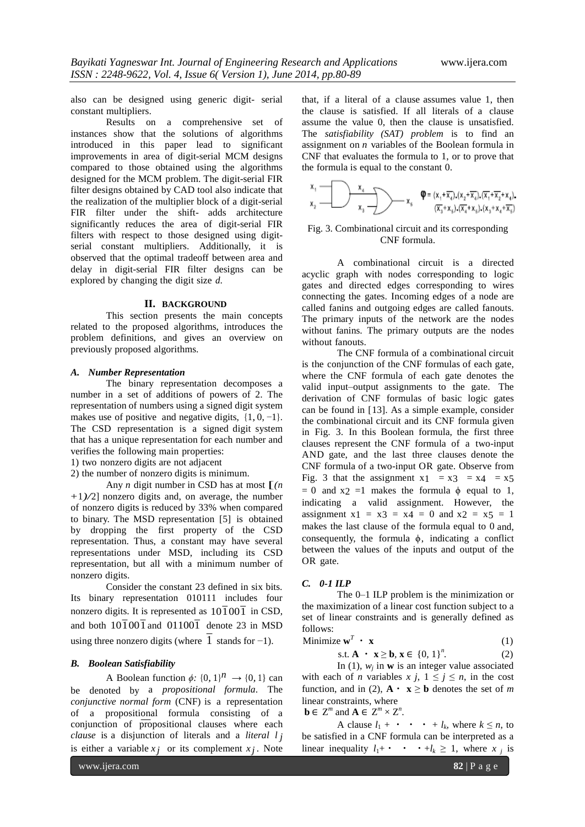also can be designed using generic digit- serial constant multipliers.

Results on a comprehensive set of instances show that the solutions of algorithms introduced in this paper lead to significant improvements in area of digit-serial MCM designs compared to those obtained using the algorithms designed for the MCM problem. The digit-serial FIR filter designs obtained by CAD tool also indicate that the realization of the multiplier block of a digit-serial FIR filter under the shift- adds architecture significantly reduces the area of digit-serial FIR filters with respect to those designed using digitserial constant multipliers. Additionally, it is observed that the optimal tradeoff between area and delay in digit-serial FIR filter designs can be explored by changing the digit size *d*.

#### **II. BACKGROUND**

This section presents the main concepts related to the proposed algorithms, introduces the problem definitions, and gives an overview on previously proposed algorithms.

# *A. Number Representation*

The binary representation decomposes a number in a set of additions of powers of 2. The representation of numbers using a signed digit system makes use of positive and negative digits,  $\{1, 0, -1\}$ . The CSD representation is a signed digit system that has a unique representation for each number and verifies the following main properties:

1) two nonzero digits are not adjacent

2) the number of nonzero digits is minimum.

Any *n* digit number in CSD has at most  $\Gamma(n)$ +1*)/*2] nonzero digits and, on average, the number of nonzero digits is reduced by 33% when compared to binary. The MSD representation [5] is obtained by dropping the first property of the CSD representation. Thus, a constant may have several representations under MSD, including its CSD representation, but all with a minimum number of nonzero digits.

Consider the constant 23 defined in six bits. Its binary representation 010111 includes four nonzero digits. It is represented as  $10\overline{1}00\overline{1}$  in CSD, and both  $10\overline{1}00\overline{1}$  and  $01100\overline{1}$  denote 23 in MSD using three nonzero digits (where  $1$  stands for  $-1$ ).

## *B. Boolean Satisfiability*

A Boolean function  $\phi$ : {0, 1}<sup>*n*</sup>  $\rightarrow$  {0, 1} can be denoted by a *propositional formula*. The *conjunctive normal form* (CNF) is a representation of a propositional formula consisting of a conjunction of propositional clauses where each *clause* is a disjunction of literals and a *literal l j*  is either a variable  $x_j$  or its complement  $x_j$ . Note

that, if a literal of a clause assumes value 1, then the clause is satisfied. If all literals of a clause assume the value 0, then the clause is unsatisfied. The *satisfiability (SAT) problem* is to find an assignment on *n* variables of the Boolean formula in CNF that evaluates the formula to 1, or to prove that the formula is equal to the constant 0.



# Fig. 3. Combinational circuit and its corresponding CNF formula.

A combinational circuit is a directed acyclic graph with nodes corresponding to logic gates and directed edges corresponding to wires connecting the gates. Incoming edges of a node are called fanins and outgoing edges are called fanouts. The primary inputs of the network are the nodes without fanins. The primary outputs are the nodes without fanouts.

The CNF formula of a combinational circuit is the conjunction of the CNF formulas of each gate, where the CNF formula of each gate denotes the valid input–output assignments to the gate. The derivation of CNF formulas of basic logic gates can be found in [13]. As a simple example, consider the combinational circuit and its CNF formula given in Fig. 3. In this Boolean formula, the first three clauses represent the CNF formula of a two-input AND gate, and the last three clauses denote the CNF formula of a two-input OR gate. Observe from Fig. 3 that the assignment  $x_1 = x_3 = x_4 = x_5$  $= 0$  and  $x2 = 1$  makes the formula  $\phi$  equal to 1, indicating a valid assignment. However, the assignment  $x_1 = x_3 = x_4 = 0$  and  $x_2 = x_5 = 1$ makes the last clause of the formula equal to 0 and, consequently, the formula  $\phi$ , indicating a conflict between the values of the inputs and output of the OR gate.

# *C. 0-1 ILP*

The 0–1 ILP problem is the minimization or the maximization of a linear cost function subject to a set of linear constraints and is generally defined as follows:

$$
\text{Minimize } \mathbf{w}^T \cdot \mathbf{x} \tag{1}
$$

$$
\text{s.t. } \mathbf{A} \cdot \mathbf{x} \ge \mathbf{b}, \mathbf{x} \in \{0, 1\}^n. \tag{2}
$$

In (1),  $w_j$  in **w** is an integer value associated with each of *n* variables  $x j$ ,  $1 \le j \le n$ , in the cost function, and in (2),  $\mathbf{A} \cdot \mathbf{x} \geq \mathbf{b}$  denotes the set of *m* linear constraints, where

**b**  $\in \mathbb{Z}^m$  and  $\mathbf{A} \in \mathbb{Z}^m \times \mathbb{Z}^n$ .

A clause  $l_1 + \cdot \cdot \cdot + l_k$ , where  $k \leq n$ , to be satisfied in a CNF formula can be interpreted as a linear inequality  $l_1 + \cdot \cdot \cdot + l_k \geq 1$ , where  $x_j$  is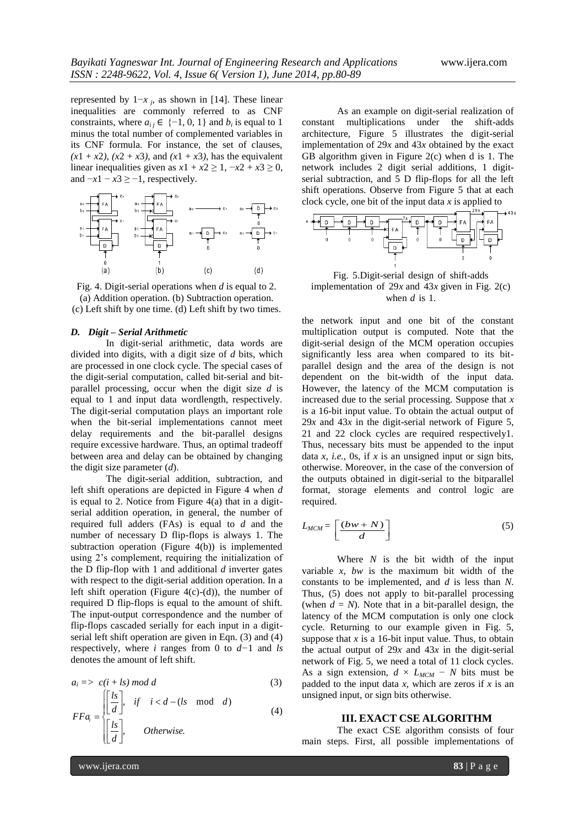represented by  $1-x_j$ , as shown in [14]. These linear inequalities are commonly referred to as CNF constraints, where  $a_{ij} \in \{-1, 0, 1\}$  and  $b_i$  is equal to 1 minus the total number of complemented variables in its CNF formula. For instance, the set of clauses,  $(x1 + x2)$ ,  $(x2 + x3)$ , and  $(x1 + x3)$ , has the equivalent linear inequalities given as  $x1 + x2 \ge 1$ ,  $-x2 + x3 \ge 0$ , and  $-x1 - x3 \ge -1$ , respectively.



Fig. 4. Digit-serial operations when *d* is equal to 2. (a) Addition operation. (b) Subtraction operation. (c) Left shift by one time. (d) Left shift by two times.

#### *D. Digit – Serial Arithmetic*

In digit-serial arithmetic, data words are divided into digits, with a digit size of *d* bits, which are processed in one clock cycle. The special cases of the digit-serial computation, called bit-serial and bitparallel processing, occur when the digit size *d* is equal to 1 and input data wordlength, respectively. The digit-serial computation plays an important role when the bit-serial implementations cannot meet delay requirements and the bit-parallel designs require excessive hardware. Thus, an optimal tradeoff between area and delay can be obtained by changing the digit size parameter (*d*).

The digit-serial addition, subtraction, and left shift operations are depicted in Figure 4 when *d*  is equal to 2. Notice from Figure  $4(a)$  that in a digitserial addition operation, in general, the number of required full adders (FAs) is equal to *d* and the number of necessary D flip-flops is always 1. The subtraction operation (Figure 4(b)) is implemented using 2's complement, requiring the initialization of the D flip-flop with 1 and additional *d* inverter gates with respect to the digit-serial addition operation. In a left shift operation (Figure  $4(c)-(d)$ ), the number of required D flip-flops is equal to the amount of shift. The input-output correspondence and the number of flip-flops cascaded serially for each input in a digitserial left shift operation are given in Eqn. (3) and (4) respectively, where *i* ranges from 0 to *d−*1 and *ls*  denotes the amount of left shift.

$$
a_i \implies c(i + ls) \bmod d \tag{3}
$$

$$
FFa_i = \begin{cases} \left[\frac{ls}{d}\right], & \text{if } i < d - (ls \mod d) \\ \left[\frac{ls}{d}\right], & \text{Otherwise.} \end{cases} \tag{4}
$$

As an example on digit-serial realization of constant multiplications under the shift-adds architecture, Figure 5 illustrates the digit-serial implementation of 29*x* and 43*x* obtained by the exact GB algorithm given in Figure  $2(c)$  when d is 1. The network includes 2 digit serial additions, 1 digitserial subtraction, and 5 D flip-flops for all the left shift operations. Observe from Figure 5 that at each clock cycle, one bit of the input data *x* is applied to



Fig. 5.Digit-serial design of shift-adds implementation of  $29x$  and  $43x$  given in Fig. 2(c) when *d* is 1.

the network input and one bit of the constant multiplication output is computed. Note that the digit-serial design of the MCM operation occupies significantly less area when compared to its bitparallel design and the area of the design is not dependent on the bit-width of the input data. However, the latency of the MCM computation is increased due to the serial processing. Suppose that *x*  is a 16-bit input value. To obtain the actual output of 29*x* and 43*x* in the digit-serial network of Figure 5, 21 and 22 clock cycles are required respectively1. Thus, necessary bits must be appended to the input data *x*, *i.e.*, 0s, if *x* is an unsigned input or sign bits, otherwise. Moreover, in the case of the conversion of the outputs obtained in digit-serial to the bitparallel format, storage elements and control logic are required.

$$
L_{MCM} = \left[\frac{(bw+N)}{d}\right] \tag{5}
$$

Where *N* is the bit width of the input variable *x*, *bw* is the maximum bit width of the constants to be implemented, and *d* is less than *N*. Thus, (5) does not apply to bit-parallel processing (when  $d = N$ ). Note that in a bit-parallel design, the latency of the MCM computation is only one clock cycle. Returning to our example given in Fig. 5, suppose that  $x$  is a 16-bit input value. Thus, to obtain the actual output of  $29x$  and  $43x$  in the digit-serial network of Fig. 5, we need a total of 11 clock cycles. As a sign extension,  $d \times L_{MCM} - N$  bits must be padded to the input data  $x$ , which are zeros if  $x$  is an unsigned input, or sign bits otherwise.

#### **III. EXACT CSE ALGORITHM**

The exact CSE algorithm consists of four main steps. First, all possible implementations of

www.ijera.com **83** | P a g e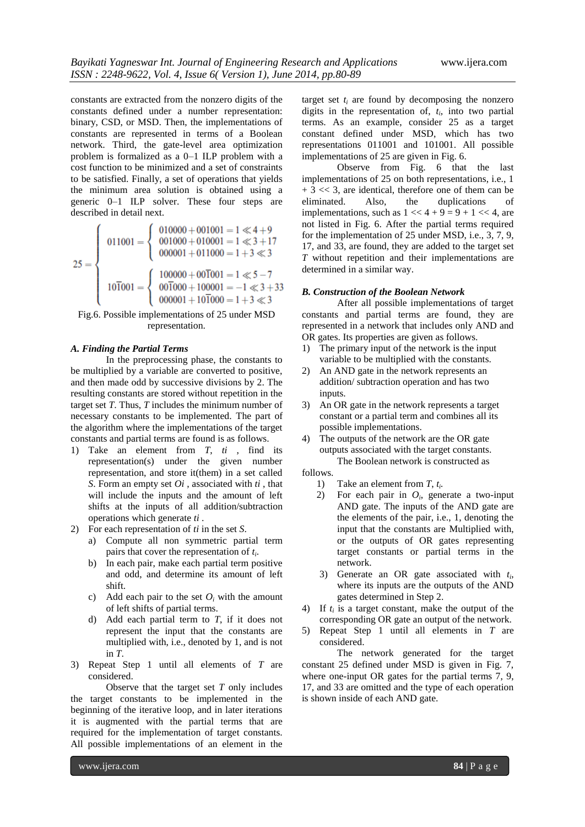constants are extracted from the nonzero digits of the constants defined under a number representation: binary, CSD, or MSD. Then, the implementations of constants are represented in terms of a Boolean network. Third, the gate-level area optimization problem is formalized as a 0–1 ILP problem with a cost function to be minimized and a set of constraints to be satisfied. Finally, a set of operations that yields the minimum area solution is obtained using a generic 0–1 ILP solver. These four steps are described in detail next.

$$
25 = \left\{\n\begin{array}{c}\n011001 = \n\left\{\n\begin{array}{c}\n010000 + 001001 = 1 \ll 4 + 9 \\
001000 + 010001 = 1 \ll 3 + 17 \\
000001 + 011000 = 1 + 3 \ll 3\n\end{array}\n\right.\n10\overline{1}001 = \left\{\n\begin{array}{c}\n100000 + 00\overline{1}001 = 1 \ll 5 - 7 \\
00\overline{1}000 + 100001 = -1 \ll 3 + 33 \\
000001 + 10\overline{1}000 = 1 + 3 \ll 3\n\end{array}\n\right.
$$

Fig.6. Possible implementations of 25 under MSD representation.

#### *A. Finding the Partial Terms*

In the preprocessing phase, the constants to be multiplied by a variable are converted to positive, and then made odd by successive divisions by 2. The resulting constants are stored without repetition in the target set *T*. Thus, *T* includes the minimum number of necessary constants to be implemented. The part of the algorithm where the implementations of the target constants and partial terms are found is as follows.

- 1) Take an element from *T*, *ti* , find its representation(s) under the given number representation, and store it(them) in a set called *S*. Form an empty set *Oi* , associated with *ti* , that will include the inputs and the amount of left shifts at the inputs of all addition/subtraction operations which generate *ti* .
- 2) For each representation of *ti* in the set *S*.
	- a) Compute all non symmetric partial term pairs that cover the representation of *t<sup>i</sup>* .
	- b) In each pair, make each partial term positive and odd, and determine its amount of left shift.
	- c) Add each pair to the set  $O_i$  with the amount of left shifts of partial terms.
	- d) Add each partial term to *T*, if it does not represent the input that the constants are multiplied with, i.e., denoted by 1, and is not in *T*.
- 3) Repeat Step 1 until all elements of *T* are considered.

Observe that the target set *T* only includes the target constants to be implemented in the beginning of the iterative loop, and in later iterations it is augmented with the partial terms that are required for the implementation of target constants. All possible implementations of an element in the

target set  $t_i$  are found by decomposing the nonzero digits in the representation of,  $t_i$ , into two partial terms. As an example, consider 25 as a target constant defined under MSD, which has two representations 011001 and 101001. All possible implementations of 25 are given in Fig. 6.

Observe from Fig. 6 that the last implementations of 25 on both representations, i.e., 1  $+3 \ll 3$ , are identical, therefore one of them can be eliminated. Also, the duplications of implementations, such as  $1 \ll 4 + 9 = 9 + 1 \ll 4$ , are not listed in Fig. 6. After the partial terms required for the implementation of 25 under MSD, i.e., 3, 7, 9, 17, and 33, are found, they are added to the target set *T* without repetition and their implementations are determined in a similar way.

#### *B. Construction of the Boolean Network*

After all possible implementations of target constants and partial terms are found, they are represented in a network that includes only AND and OR gates. Its properties are given as follows.

- 1) The primary input of the network is the input variable to be multiplied with the constants.
- 2) An AND gate in the network represents an addition/ subtraction operation and has two inputs.
- 3) An OR gate in the network represents a target constant or a partial term and combines all its possible implementations.
- 4) The outputs of the network are the OR gate outputs associated with the target constants.

The Boolean network is constructed as follows.

- 1) Take an element from *T*, *t<sup>i</sup> .*
- 2) For each pair in  $O_i$ , generate a two-input AND gate. The inputs of the AND gate are the elements of the pair, i.e., 1, denoting the input that the constants are Multiplied with, or the outputs of OR gates representing target constants or partial terms in the network.
	- 3) Generate an OR gate associated with *t<sup>i</sup>* , where its inputs are the outputs of the AND gates determined in Step 2.
- 4) If  $t_i$  is a target constant, make the output of the corresponding OR gate an output of the network.
- 5) Repeat Step 1 until all elements in *T* are considered.

The network generated for the target constant 25 defined under MSD is given in Fig. 7, where one-input OR gates for the partial terms 7, 9, 17, and 33 are omitted and the type of each operation is shown inside of each AND gate.

www.ijera.com **84** | P a g e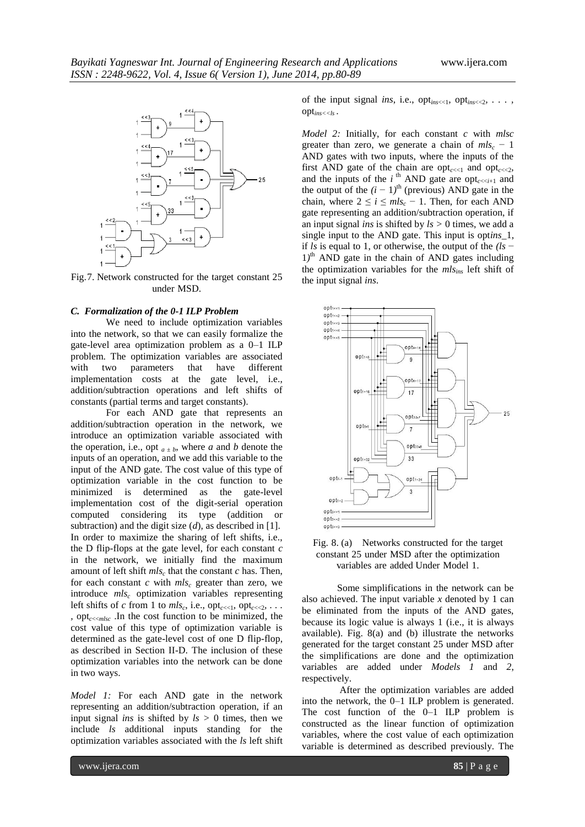

Fig.7. Network constructed for the target constant 25 under MSD.

#### *C. Formalization of the 0-1 ILP Problem*

We need to include optimization variables into the network, so that we can easily formalize the gate-level area optimization problem as a 0–1 ILP problem. The optimization variables are associated with two parameters that have different implementation costs at the gate level, i.e., addition/subtraction operations and left shifts of constants (partial terms and target constants).

For each AND gate that represents an addition/subtraction operation in the network, we introduce an optimization variable associated with the operation, i.e., opt  $a \pm b$ , where *a* and *b* denote the inputs of an operation, and we add this variable to the input of the AND gate. The cost value of this type of optimization variable in the cost function to be minimized is determined as the gate-level implementation cost of the digit-serial operation computed considering its type (addition or subtraction) and the digit size (*d*), as described in [1]. In order to maximize the sharing of left shifts, i.e., the D flip-flops at the gate level, for each constant *c*  in the network, we initially find the maximum amount of left shift  $mls_c$  that the constant *c* has. Then, for each constant  $c$  with  $mls<sub>c</sub>$  greater than zero, we introduce *mls<sup>c</sup>* optimization variables representing left shifts of *c* from 1 to  $mls_c$ , i.e.,  $opt_{c \lt l}$ ,  $opt_{c \lt l}$ , ... *,* opt*c*<<*mlsc* .In the cost function to be minimized, the cost value of this type of optimization variable is determined as the gate-level cost of one D flip-flop, as described in Section II-D. The inclusion of these optimization variables into the network can be done in two ways.

*Model 1:* For each AND gate in the network representing an addition/subtraction operation, if an input signal *ins* is shifted by  $ls > 0$  times, then we include *ls* additional inputs standing for the optimization variables associated with the *ls* left shift of the input signal *ins*, i.e., opt<sub>ins</sub><<1*,* opt<sub>ins</sub><<2*, ...*, opt*ins<<ls* .

*Model 2:* Initially, for each constant *c* with *mlsc*  greater than zero, we generate a chain of  $mls_c - 1$ AND gates with two inputs, where the inputs of the first AND gate of the chain are opt<sub> $cc<1$ </sub> and opt $_{cc<2}$ , and the inputs of the  $i^{\text{th}}$  AND gate are opt<sub>c</sub> $\lt$ z<sub>i+1</sub> and the output of the  $(i - 1)$ <sup>th</sup> (previous) AND gate in the chain, where  $2 \le i \le mls_c - 1$ . Then, for each AND gate representing an addition/subtraction operation, if an input signal *ins* is shifted by *ls >* 0 times, we add a single input to the AND gate. This input is opt*ins*\_1, if *ls* is equal to 1, or otherwise, the output of the *(ls* − 1<sup>)th</sup> AND gate in the chain of AND gates including the optimization variables for the *mlsins* left shift of the input signal *ins*.



Fig. 8. (a) Networks constructed for the target constant 25 under MSD after the optimization variables are added Under Model 1.

Some simplifications in the network can be also achieved. The input variable *x* denoted by 1 can be eliminated from the inputs of the AND gates, because its logic value is always 1 (i.e., it is always available). Fig. 8(a) and (b) illustrate the networks generated for the target constant 25 under MSD after the simplifications are done and the optimization variables are added under *Models 1* and *2*, respectively.

After the optimization variables are added into the network, the 0–1 ILP problem is generated. The cost function of the 0–1 ILP problem is constructed as the linear function of optimization variables, where the cost value of each optimization variable is determined as described previously. The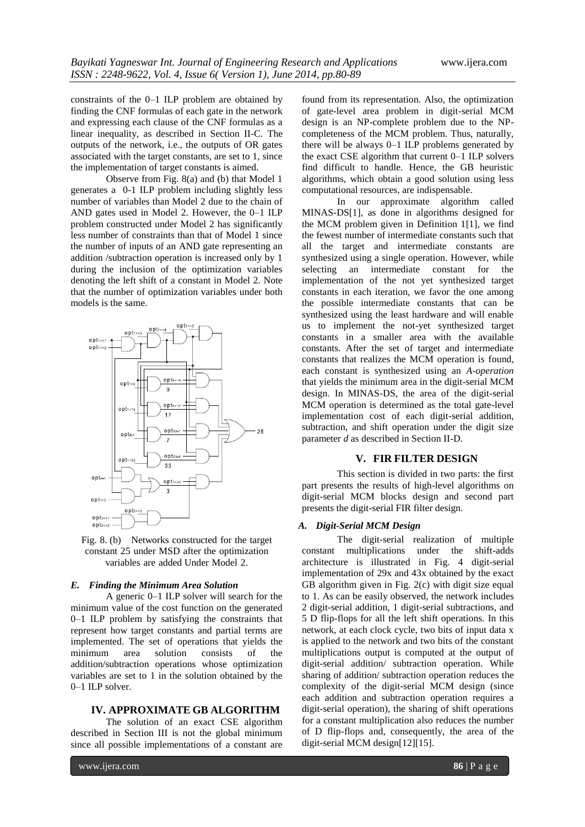constraints of the 0–1 ILP problem are obtained by finding the CNF formulas of each gate in the network and expressing each clause of the CNF formulas as a linear inequality, as described in Section II-C. The outputs of the network, i.e., the outputs of OR gates associated with the target constants, are set to 1, since the implementation of target constants is aimed.

Observe from Fig. 8(a) and (b) that Model 1 generates a 0-1 ILP problem including slightly less number of variables than Model 2 due to the chain of AND gates used in Model 2. However, the 0–1 ILP problem constructed under Model 2 has significantly less number of constraints than that of Model 1 since the number of inputs of an AND gate representing an addition /subtraction operation is increased only by 1 during the inclusion of the optimization variables denoting the left shift of a constant in Model 2. Note that the number of optimization variables under both models is the same.



Fig. 8. (b) Networks constructed for the target constant 25 under MSD after the optimization variables are added Under Model 2.

# *E. Finding the Minimum Area Solution*

A generic 0–1 ILP solver will search for the minimum value of the cost function on the generated 0–1 ILP problem by satisfying the constraints that represent how target constants and partial terms are implemented. The set of operations that yields the minimum area solution consists of the addition/subtraction operations whose optimization variables are set to 1 in the solution obtained by the 0–1 ILP solver.

## **IV. APPROXIMATE GB ALGORITHM**

The solution of an exact CSE algorithm described in Section III is not the global minimum since all possible implementations of a constant are

found from its representation. Also, the optimization of gate-level area problem in digit-serial MCM design is an NP-complete problem due to the NPcompleteness of the MCM problem. Thus, naturally, there will be always 0–1 ILP problems generated by the exact CSE algorithm that current 0–1 ILP solvers find difficult to handle. Hence, the GB heuristic algorithms, which obtain a good solution using less computational resources, are indispensable.

In our approximate algorithm called MINAS-DS[1], as done in algorithms designed for the MCM problem given in Definition 1[1], we find the fewest number of intermediate constants such that all the target and intermediate constants are synthesized using a single operation. However, while selecting an intermediate constant for the implementation of the not yet synthesized target constants in each iteration, we favor the one among the possible intermediate constants that can be synthesized using the least hardware and will enable us to implement the not-yet synthesized target constants in a smaller area with the available constants. After the set of target and intermediate constants that realizes the MCM operation is found, each constant is synthesized using an *A-operation*  that yields the minimum area in the digit-serial MCM design. In MINAS-DS, the area of the digit-serial MCM operation is determined as the total gate-level implementation cost of each digit-serial addition, subtraction, and shift operation under the digit size parameter *d* as described in Section II-D.

# **V. FIR FILTER DESIGN**

This section is divided in two parts: the first part presents the results of high-level algorithms on digit-serial MCM blocks design and second part presents the digit-serial FIR filter design.

#### *A. Digit-Serial MCM Design*

The digit-serial realization of multiple constant multiplications under the shift-adds architecture is illustrated in Fig. 4 digit-serial implementation of 29x and 43x obtained by the exact GB algorithm given in Fig. 2(c) with digit size equal to 1. As can be easily observed, the network includes 2 digit-serial addition, 1 digit-serial subtractions, and 5 D flip-flops for all the left shift operations. In this network, at each clock cycle, two bits of input data x is applied to the network and two bits of the constant multiplications output is computed at the output of digit-serial addition/ subtraction operation. While sharing of addition/ subtraction operation reduces the complexity of the digit-serial MCM design (since each addition and subtraction operation requires a digit-serial operation), the sharing of shift operations for a constant multiplication also reduces the number of D flip-flops and, consequently, the area of the digit-serial MCM design[12][15].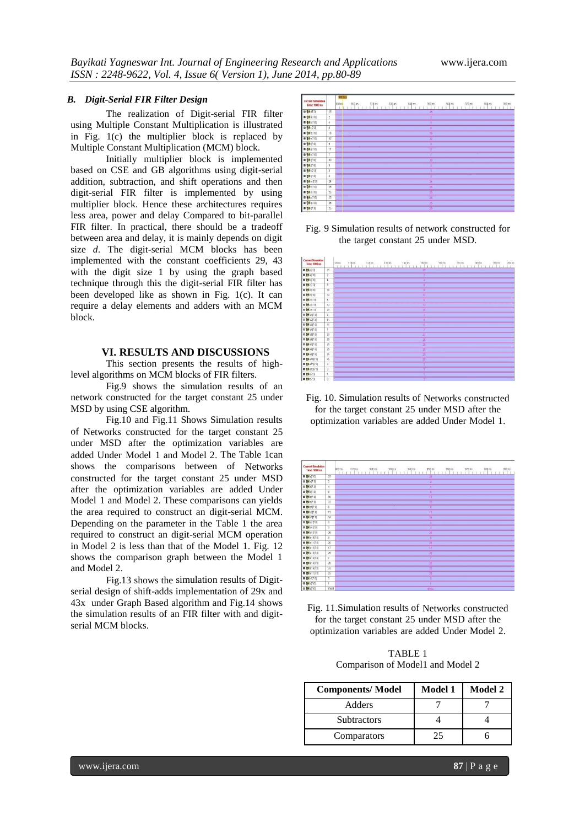# *B. Digit-Serial FIR Filter Design*

The realization of Digit-serial FIR filter using Multiple Constant Multiplication is illustrated in Fig. 1(c) the multiplier block is replaced by Multiple Constant Multiplication (MCM) block.

Initially multiplier block is implemented based on CSE and GB algorithms using digit-serial addition, subtraction, and shift operations and then digit-serial FIR filter is implemented by using multiplier block. Hence these architectures requires less area, power and delay Compared to bit-parallel FIR filter. In practical, there should be a tradeoff between area and delay, it is mainly depends on digit size *d*. The digit-serial MCM blocks has been implemented with the constant coefficients 29, 43 with the digit size 1 by using the graph based technique through this the digit-serial FIR filter has been developed like as shown in Fig. 1(c). It can require a delay elements and adders with an MCM block.

## **VI. RESULTS AND DISCUSSIONS**

This section presents the results of highlevel algorithms on MCM blocks of FIR filters.

Fig.9 shows the simulation results of an network constructed for the target constant 25 under MSD by using CSE algorithm.

Fig.10 and Fig.11 Shows Simulation results of Networks constructed for the target constant 25 under MSD after the optimization variables are added Under Model 1 and Model 2. The Table 1can shows the comparisons between of Networks constructed for the target constant 25 under MSD after the optimization variables are added Under Model 1 and Model 2. These comparisons can yields the area required to construct an digit-serial MCM. Depending on the parameter in the Table 1 the area required to construct an digit-serial MCM operation in Model 2 is less than that of the Model 1. Fig. 12 shows the comparison graph between the Model 1 and Model 2.

Fig.13 shows the simulation results of Digitserial design of shift-adds implementation of 29x and 43x under Graph Based algorithm and Fig.14 shows the simulation results of an FIR filter with and digitserial MCM blocks.







Fig. 10. Simulation results of Networks constructed for the target constant 25 under MSD after the optimization variables are added Under Model 1.



Fig. 11.Simulation results of Networks constructed for the target constant 25 under MSD after the optimization variables are added Under Model 2.

TABLE 1 Comparison of Model1 and Model 2

| <b>Components/Model</b> | <b>Model 1</b> | <b>Model 2</b> |
|-------------------------|----------------|----------------|
| Adders                  |                |                |
| <b>Subtractors</b>      |                |                |
| Comparators             | 25             |                |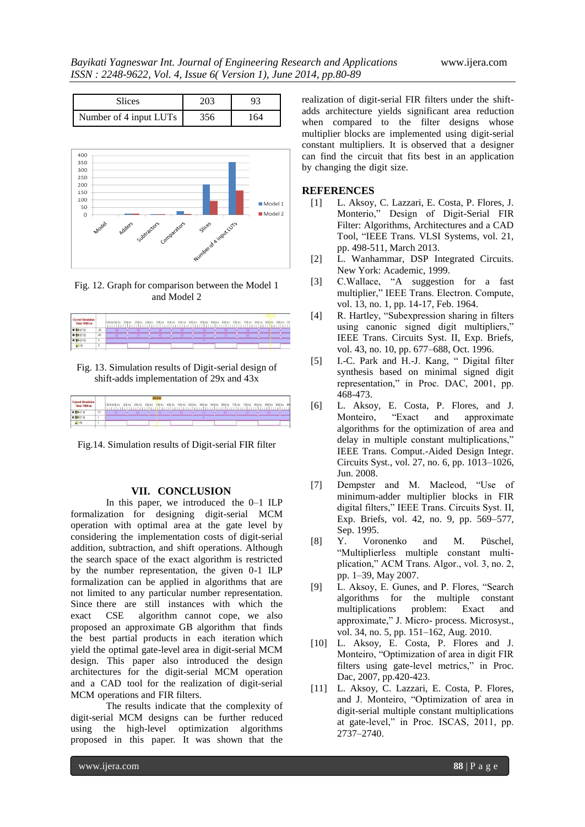| Slices                 |    |
|------------------------|----|
| Number of 4 input LUTs | 64 |



Fig. 12. Graph for comparison between the Model 1 and Model 2



Fig. 13. Simulation results of Digit-serial design of shift-adds implementation of 29x and 43x



Fig.14. Simulation results of Digit-serial FIR filter

#### **VII. CONCLUSION**

In this paper, we introduced the 0–1 ILP formalization for designing digit-serial MCM operation with optimal area at the gate level by considering the implementation costs of digit-serial addition, subtraction, and shift operations. Although the search space of the exact algorithm is restricted by the number representation, the given 0-1 ILP formalization can be applied in algorithms that are not limited to any particular number representation. Since there are still instances with which the exact CSE algorithm cannot cope, we also proposed an approximate GB algorithm that finds the best partial products in each iteration which yield the optimal gate-level area in digit-serial MCM design. This paper also introduced the design architectures for the digit-serial MCM operation and a CAD tool for the realization of digit-serial MCM operations and FIR filters.

The results indicate that the complexity of digit-serial MCM designs can be further reduced using the high-level optimization algorithms proposed in this paper. It was shown that the

realization of digit-serial FIR filters under the shiftadds architecture yields significant area reduction when compared to the filter designs whose multiplier blocks are implemented using digit-serial constant multipliers. It is observed that a designer can find the circuit that fits best in an application by changing the digit size.

# **REFERENCES**

- [1] L. Aksoy, C. Lazzari, E. Costa, P. Flores, J. Monterio," Design of Digit-Serial FIR Filter: Algorithms, Architectures and a CAD Tool, "IEEE Trans. VLSI Systems, vol. 21, pp. 498-511, March 2013.
- [2] L. Wanhammar, DSP Integrated Circuits. New York: Academic, 1999.
- [3] C.Wallace, "A suggestion for a fast multiplier," IEEE Trans. Electron. Compute, vol. 13, no. 1, pp. 14-17, Feb. 1964.
- [4] R. Hartley, "Subexpression sharing in filters using canonic signed digit multipliers," IEEE Trans. Circuits Syst. II, Exp. Briefs, vol. 43, no. 10, pp. 677–688, Oct. 1996.
- [5] I.-C. Park and H.-J. Kang, " Digital filter synthesis based on minimal signed digit representation," in Proc. DAC, 2001, pp. 468-473.
- [6] L. Aksoy, E. Costa, P. Flores, and J. Monteiro, "Exact and approximate algorithms for the optimization of area and delay in multiple constant multiplications," IEEE Trans. Comput.-Aided Design Integr. Circuits Syst., vol. 27, no. 6, pp. 1013–1026, Jun. 2008.
- [7] Dempster and M. Macleod, "Use of minimum-adder multiplier blocks in FIR digital filters," IEEE Trans. Circuits Syst. II, Exp. Briefs, vol. 42, no. 9, pp. 569–577, Sep. 1995.
- [8] Y. Voronenko and M. Püschel, ―Multiplierless multiple constant multiplication," ACM Trans. Algor., vol. 3, no. 2, pp. 1–39, May 2007.
- [9] L. Aksoy, E. Gunes, and P. Flores, "Search" algorithms for the multiple constant multiplications problem: Exact and approximate," J. Micro- process. Microsyst., vol. 34, no. 5, pp. 151–162, Aug. 2010.
- [10] L. Aksoy, E. Costa, P. Flores and J. Monteiro, "Optimization of area in digit FIR filters using gate-level metrics," in Proc. Dac, 2007, pp.420-423.
- [11] L. Aksoy, C. Lazzari, E. Costa, P. Flores, and J. Monteiro, "Optimization of area in digit-serial multiple constant multiplications at gate-level," in Proc. ISCAS, 2011, pp. 2737–2740.